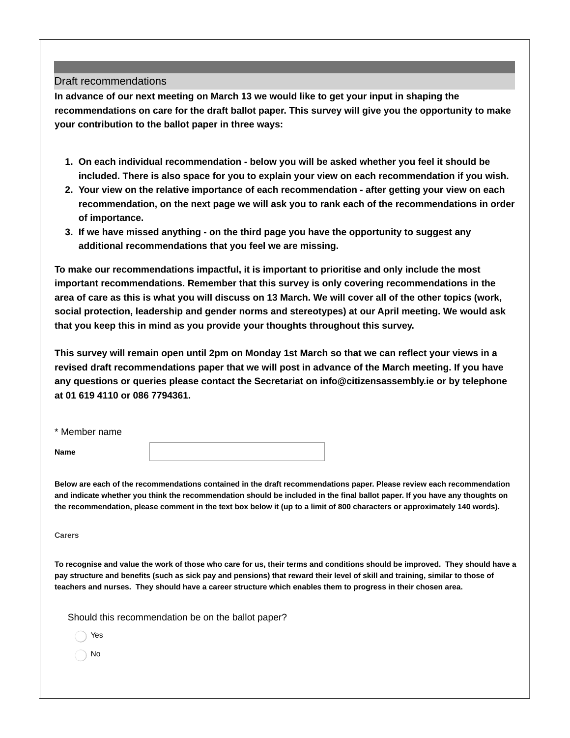### Draft recommendations

**In advance of our next meeting on March 13 we would like to get your input in shaping the recommendations on care for the draft ballot paper. This survey will give you the opportunity to make your contribution to the ballot paper in three ways:**

- **1. On each individual recommendation - below you will be asked whether you feel it should be included. There is also space for you to explain your view on each recommendation if you wish.**
- **2. Your view on the relative importance of each recommendation - after getting your view on each recommendation, on the next page we will ask you to rank each of the recommendations in order of importance.**
- **3. If we have missed anything - on the third page you have the opportunity to suggest any additional recommendations that you feel we are missing.**

**To make our recommendations impactful, it is important to prioritise and only include the most important recommendations. Remember that this survey is only covering recommendations in the** area of care as this is what you will discuss on 13 March. We will cover all of the other topics (work, **social protection, leadership and gender norms and stereotypes) at our April meeting. We would ask that you keep this in mind as you provide your thoughts throughout this survey.**

This survey will remain open until 2pm on Monday 1st March so that we can reflect your views in a **revised draft recommendations paper that we will post in advance of the March meeting. If you have any questions or queries please contact the Secretariat on info@citizensassembly.ie or by telephone at 01 619 4110 or 086 7794361.**

| * Member name |  |
|---------------|--|
| <b>Name</b>   |  |

Below are each of the recommendations contained in the draft recommendations paper. Please review each recommendation and indicate whether you think the recommendation should be included in the final ballot paper. If you have any thoughts on the recommendation, please comment in the text box below it (up to a limit of 800 characters or approximately 140 words).

**Carers**

To recognise and value the work of those who care for us, their terms and conditions should be improved. They should have a pay structure and benefits (such as sick pay and pensions) that reward their level of skill and training, similar to those of teachers and nurses. They should have a career structure which enables them to progress in their chosen area.

Should this recommendation be on the ballot paper?

Yes

No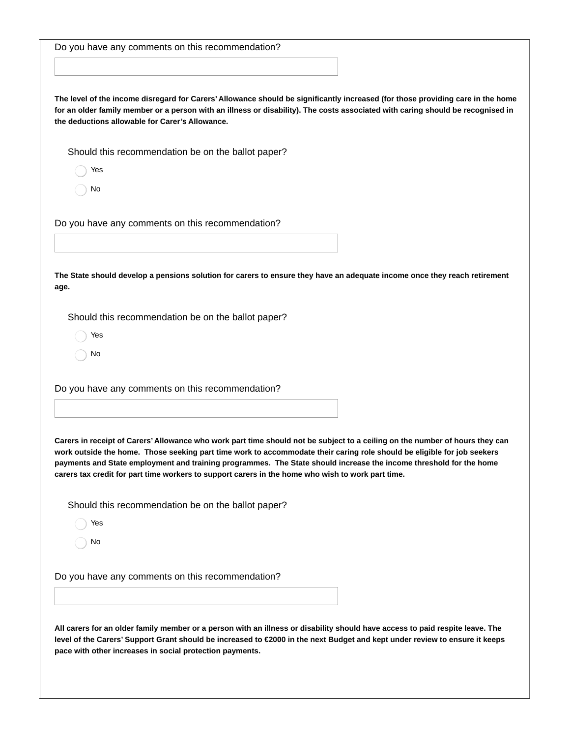| Do you have any comments on this recommendation?                                                                                                                                                                                                                                                                                                                                                                                                                                   |
|------------------------------------------------------------------------------------------------------------------------------------------------------------------------------------------------------------------------------------------------------------------------------------------------------------------------------------------------------------------------------------------------------------------------------------------------------------------------------------|
|                                                                                                                                                                                                                                                                                                                                                                                                                                                                                    |
|                                                                                                                                                                                                                                                                                                                                                                                                                                                                                    |
| The level of the income disregard for Carers' Allowance should be significantly increased (for those providing care in the home<br>for an older family member or a person with an illness or disability). The costs associated with caring should be recognised in<br>the deductions allowable for Carer's Allowance.                                                                                                                                                              |
| Should this recommendation be on the ballot paper?                                                                                                                                                                                                                                                                                                                                                                                                                                 |
| Yes                                                                                                                                                                                                                                                                                                                                                                                                                                                                                |
| No                                                                                                                                                                                                                                                                                                                                                                                                                                                                                 |
| Do you have any comments on this recommendation?                                                                                                                                                                                                                                                                                                                                                                                                                                   |
|                                                                                                                                                                                                                                                                                                                                                                                                                                                                                    |
| The State should develop a pensions solution for carers to ensure they have an adequate income once they reach retirement<br>age.                                                                                                                                                                                                                                                                                                                                                  |
| Should this recommendation be on the ballot paper?                                                                                                                                                                                                                                                                                                                                                                                                                                 |
| Yes                                                                                                                                                                                                                                                                                                                                                                                                                                                                                |
| No                                                                                                                                                                                                                                                                                                                                                                                                                                                                                 |
| Do you have any comments on this recommendation?                                                                                                                                                                                                                                                                                                                                                                                                                                   |
|                                                                                                                                                                                                                                                                                                                                                                                                                                                                                    |
| Carers in receipt of Carers' Allowance who work part time should not be subject to a ceiling on the number of hours they can<br>work outside the home. Those seeking part time work to accommodate their caring role should be eligible for job seekers<br>payments and State employment and training programmes. The State should increase the income threshold for the home<br>carers tax credit for part time workers to support carers in the home who wish to work part time. |
| Should this recommendation be on the ballot paper?                                                                                                                                                                                                                                                                                                                                                                                                                                 |
| Yes                                                                                                                                                                                                                                                                                                                                                                                                                                                                                |
| No                                                                                                                                                                                                                                                                                                                                                                                                                                                                                 |
| Do you have any comments on this recommendation?                                                                                                                                                                                                                                                                                                                                                                                                                                   |
|                                                                                                                                                                                                                                                                                                                                                                                                                                                                                    |
| All carers for an older family member or a person with an illness or disability should have access to paid respite leave. The<br>level of the Carers' Support Grant should be increased to €2000 in the next Budget and kept under review to ensure it keeps<br>pace with other increases in social protection payments.                                                                                                                                                           |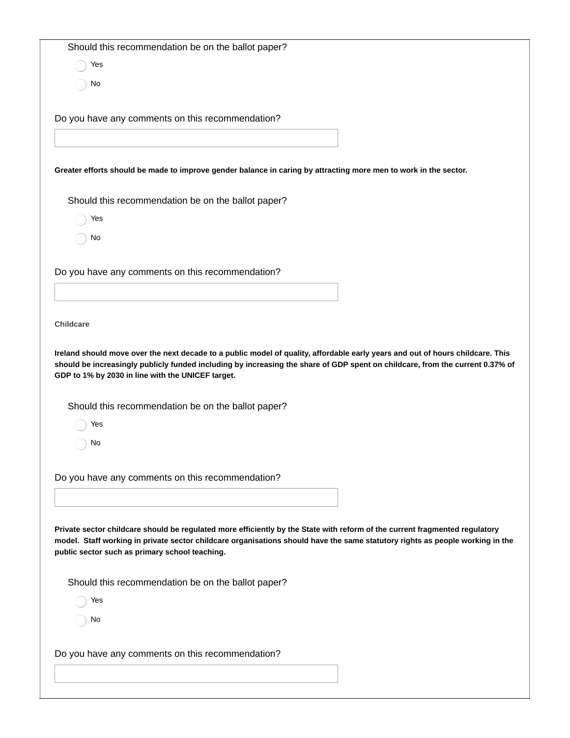Should this recommendation be on the ballot paper?

Yes

No

Do you have any comments on this recommendation?

Greater efforts should be made to improve gender balance in caring by attracting more men to work in the sector.

Should this recommendation be on the ballot paper?

Yes

No

Do you have any comments on this recommendation?

**Childcare**

Ireland should move over the next decade to a public model of quality, affordable early years and out of hours childcare. This should be increasingly publicly funded including by increasing the share of GDP spent on childcare, from the current 0.37% of **GDP to 1% by 2030 in line with the UNICEF target.**

Should this recommendation be on the ballot paper?

Yes

No

Do you have any comments on this recommendation?

Private sector childcare should be regulated more efficiently by the State with reform of the current fragmented regulatory model. Staff working in private sector childcare organisations should have the same statutory rights as people working in the **public sector such as primary school teaching.**

Should this recommendation be on the ballot paper?

Yes

No

Do you have any comments on this recommendation?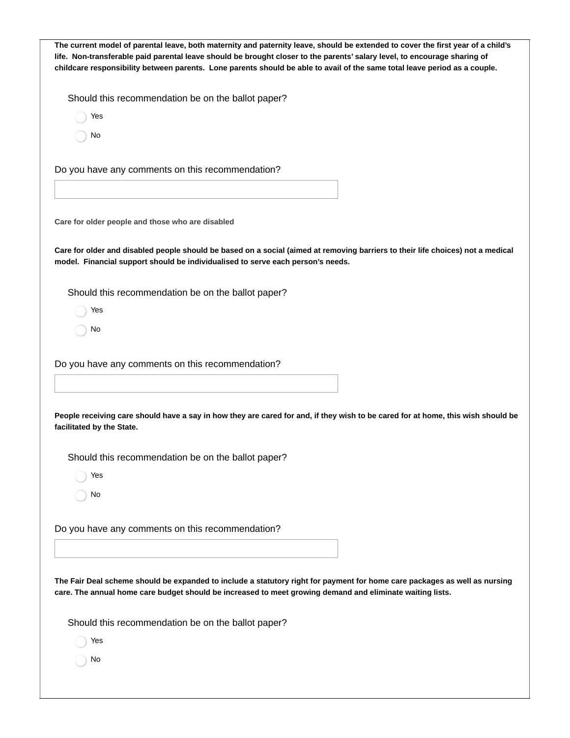| The current model of parental leave, both maternity and paternity leave, should be extended to cover the first year of a child's<br>life. Non-transferable paid parental leave should be brought closer to the parents' salary level, to encourage sharing of<br>childcare responsibility between parents. Lone parents should be able to avail of the same total leave period as a couple. |
|---------------------------------------------------------------------------------------------------------------------------------------------------------------------------------------------------------------------------------------------------------------------------------------------------------------------------------------------------------------------------------------------|
| Should this recommendation be on the ballot paper?                                                                                                                                                                                                                                                                                                                                          |
| Yes                                                                                                                                                                                                                                                                                                                                                                                         |
| No                                                                                                                                                                                                                                                                                                                                                                                          |
| Do you have any comments on this recommendation?                                                                                                                                                                                                                                                                                                                                            |
|                                                                                                                                                                                                                                                                                                                                                                                             |
| Care for older people and those who are disabled                                                                                                                                                                                                                                                                                                                                            |
| Care for older and disabled people should be based on a social (aimed at removing barriers to their life choices) not a medical<br>model. Financial support should be individualised to serve each person's needs.                                                                                                                                                                          |
| Should this recommendation be on the ballot paper?                                                                                                                                                                                                                                                                                                                                          |
| Yes                                                                                                                                                                                                                                                                                                                                                                                         |
| No                                                                                                                                                                                                                                                                                                                                                                                          |
| Do you have any comments on this recommendation?                                                                                                                                                                                                                                                                                                                                            |
|                                                                                                                                                                                                                                                                                                                                                                                             |
| People receiving care should have a say in how they are cared for and, if they wish to be cared for at home, this wish should be<br>facilitated by the State.                                                                                                                                                                                                                               |
| Should this recommendation be on the ballot paper?                                                                                                                                                                                                                                                                                                                                          |
| Yes                                                                                                                                                                                                                                                                                                                                                                                         |
| No                                                                                                                                                                                                                                                                                                                                                                                          |
| Do you have any comments on this recommendation?                                                                                                                                                                                                                                                                                                                                            |
|                                                                                                                                                                                                                                                                                                                                                                                             |
| The Fair Deal scheme should be expanded to include a statutory right for payment for home care packages as well as nursing<br>care. The annual home care budget should be increased to meet growing demand and eliminate waiting lists.                                                                                                                                                     |
| Should this recommendation be on the ballot paper?                                                                                                                                                                                                                                                                                                                                          |
| Yes                                                                                                                                                                                                                                                                                                                                                                                         |
| No                                                                                                                                                                                                                                                                                                                                                                                          |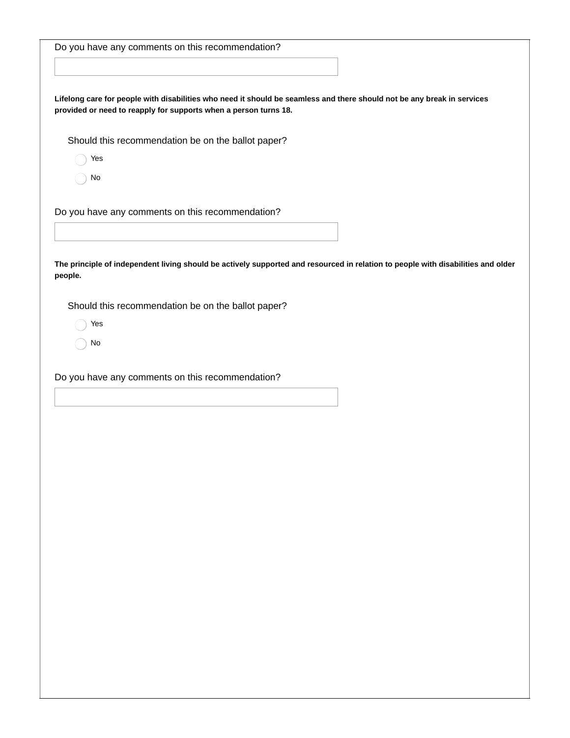| Lifelong care for people with disabilities who need it should be seamless and there should not be any break in services<br>provided or need to reapply for supports when a person turns 18.<br>Should this recommendation be on the ballot paper?<br>Yes<br>No<br>The principle of independent living should be actively supported and resourced in relation to people with disabilities and older<br>Should this recommendation be on the ballot paper?<br>Yes<br>No |                                                  |  |
|-----------------------------------------------------------------------------------------------------------------------------------------------------------------------------------------------------------------------------------------------------------------------------------------------------------------------------------------------------------------------------------------------------------------------------------------------------------------------|--------------------------------------------------|--|
|                                                                                                                                                                                                                                                                                                                                                                                                                                                                       | Do you have any comments on this recommendation? |  |
|                                                                                                                                                                                                                                                                                                                                                                                                                                                                       |                                                  |  |
|                                                                                                                                                                                                                                                                                                                                                                                                                                                                       |                                                  |  |
|                                                                                                                                                                                                                                                                                                                                                                                                                                                                       |                                                  |  |
|                                                                                                                                                                                                                                                                                                                                                                                                                                                                       |                                                  |  |
|                                                                                                                                                                                                                                                                                                                                                                                                                                                                       |                                                  |  |
|                                                                                                                                                                                                                                                                                                                                                                                                                                                                       |                                                  |  |
|                                                                                                                                                                                                                                                                                                                                                                                                                                                                       |                                                  |  |
|                                                                                                                                                                                                                                                                                                                                                                                                                                                                       |                                                  |  |
|                                                                                                                                                                                                                                                                                                                                                                                                                                                                       |                                                  |  |
|                                                                                                                                                                                                                                                                                                                                                                                                                                                                       | Do you have any comments on this recommendation? |  |
|                                                                                                                                                                                                                                                                                                                                                                                                                                                                       |                                                  |  |
|                                                                                                                                                                                                                                                                                                                                                                                                                                                                       |                                                  |  |
|                                                                                                                                                                                                                                                                                                                                                                                                                                                                       |                                                  |  |
|                                                                                                                                                                                                                                                                                                                                                                                                                                                                       | people.                                          |  |
|                                                                                                                                                                                                                                                                                                                                                                                                                                                                       |                                                  |  |
|                                                                                                                                                                                                                                                                                                                                                                                                                                                                       |                                                  |  |
|                                                                                                                                                                                                                                                                                                                                                                                                                                                                       |                                                  |  |
|                                                                                                                                                                                                                                                                                                                                                                                                                                                                       |                                                  |  |
|                                                                                                                                                                                                                                                                                                                                                                                                                                                                       |                                                  |  |
|                                                                                                                                                                                                                                                                                                                                                                                                                                                                       | Do you have any comments on this recommendation? |  |
|                                                                                                                                                                                                                                                                                                                                                                                                                                                                       |                                                  |  |
|                                                                                                                                                                                                                                                                                                                                                                                                                                                                       |                                                  |  |
|                                                                                                                                                                                                                                                                                                                                                                                                                                                                       |                                                  |  |
|                                                                                                                                                                                                                                                                                                                                                                                                                                                                       |                                                  |  |
|                                                                                                                                                                                                                                                                                                                                                                                                                                                                       |                                                  |  |
|                                                                                                                                                                                                                                                                                                                                                                                                                                                                       |                                                  |  |
|                                                                                                                                                                                                                                                                                                                                                                                                                                                                       |                                                  |  |
|                                                                                                                                                                                                                                                                                                                                                                                                                                                                       |                                                  |  |
|                                                                                                                                                                                                                                                                                                                                                                                                                                                                       |                                                  |  |
|                                                                                                                                                                                                                                                                                                                                                                                                                                                                       |                                                  |  |
|                                                                                                                                                                                                                                                                                                                                                                                                                                                                       |                                                  |  |
|                                                                                                                                                                                                                                                                                                                                                                                                                                                                       |                                                  |  |
|                                                                                                                                                                                                                                                                                                                                                                                                                                                                       |                                                  |  |
|                                                                                                                                                                                                                                                                                                                                                                                                                                                                       |                                                  |  |
|                                                                                                                                                                                                                                                                                                                                                                                                                                                                       |                                                  |  |
|                                                                                                                                                                                                                                                                                                                                                                                                                                                                       |                                                  |  |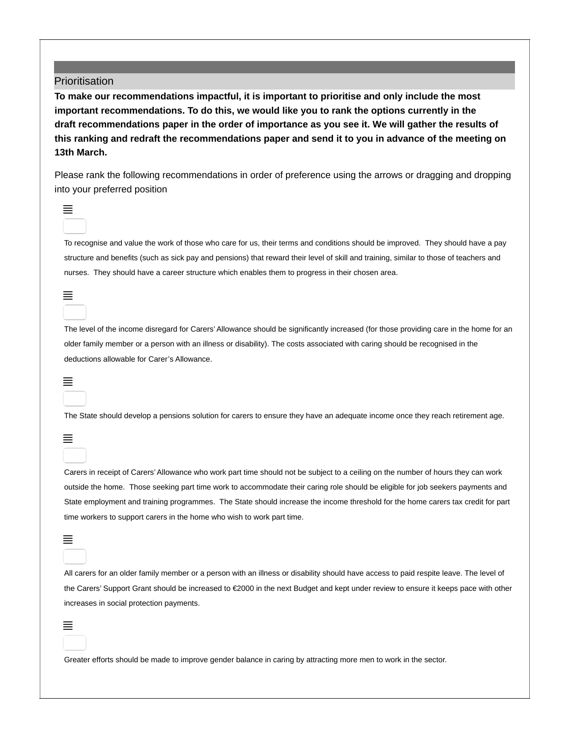#### **Prioritisation**

**To make our recommendations impactful, it is important to prioritise and only include the most important recommendations. To do this, we would like you to rank the options currently in the** draft recommendations paper in the order of importance as you see it. We will gather the results of **this ranking and redraft the recommendations paper and send it to you in advance of the meeting on 13th March.**

Please rank the following recommendations in order of preference using the arrows or dragging and dropping into your preferred position



To recognise and value the work of those who care for us, their terms and conditions should be improved. They should have a pay structure and benefits (such as sick pay and pensions) that reward their level of skill and training, similar to those of teachers and nurses. They should have a career structure which enables them to progress in their chosen area.

### ≣

The level of the income disregard for Carers' Allowance should be significantly increased (for those providing care in the home for an older family member or a person with an illness or disability). The costs associated with caring should be recognised in the deductions allowable for Carer's Allowance.

#### $\equiv$

The State should develop a pensions solution for carers to ensure they have an adequate income once they reach retirement age.

≣

Carers in receipt of Carers'Allowance who work part time should not be subject to a ceiling on the number of hours they can work outside the home. Those seeking part time work to accommodate their caring role should be eligible for job seekers payments and State employment and training programmes. The State should increase the income threshold for the home carers tax credit for part time workers to support carers in the home who wish to work part time.

## $\equiv$

All carers for an older family member or a person with an illness or disability should have access to paid respite leave. The level of the Carers' Support Grant should be increased to €2000 in the next Budget and kept under review to ensure it keeps pace with other increases in social protection payments.

## ≣

Greater efforts should be made to improve gender balance in caring by attracting more men to work in the sector.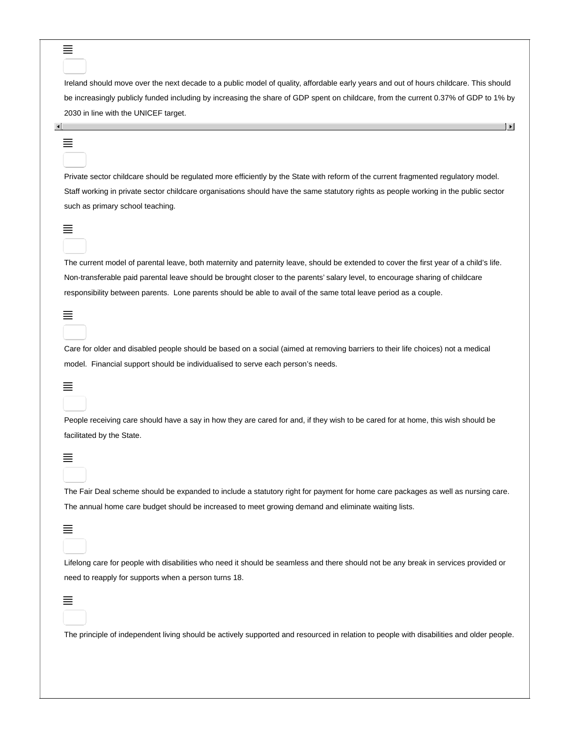Ireland should move over the next decade to a public model of quality, affordable early years and out of hours childcare. This should be increasingly publicly funded including by increasing the share of GDP spent on childcare, from the current 0.37% of GDP to 1% by 2030 in line with the UNICEF target.

 $\left| \cdot \right|$ 

## $\left| \cdot \right|$ ≣

Private sector childcare should be regulated more efficiently by the State with reform of the current fragmented regulatory model. Staff working in private sector childcare organisations should have the same statutory rights as people working in the public sector such as primary school teaching.

#### ≣

The current model of parental leave, both maternity and paternity leave, should be extended to cover the first year of a child's life. Non-transferable paid parental leave should be brought closer to the parents' salary level, to encourage sharing of childcare responsibility between parents. Lone parents should be able to avail of the same total leave period as a couple.

Care for older and disabled people should be based on a social (aimed at removing barriers to their life choices) not a medical model. Financial support should be individualised to serve each person's needs.

# ≣

≣

People receiving care should have a say in how they are cared for and, if they wish to be cared for at home, this wish should be facilitated by the State.

#### ≣

The Fair Deal scheme should be expanded to include a statutory right for payment for home care packages as well as nursing care. The annual home care budget should be increased to meet growing demand and eliminate waiting lists.

# ≣

Lifelong care for people with disabilities who need it should be seamless and there should not be any break in services provided or need to reapply for supports when a person turns 18.

#### ≣

The principle of independent living should be actively supported and resourced in relation to people with disabilities and older people.

#### ≣